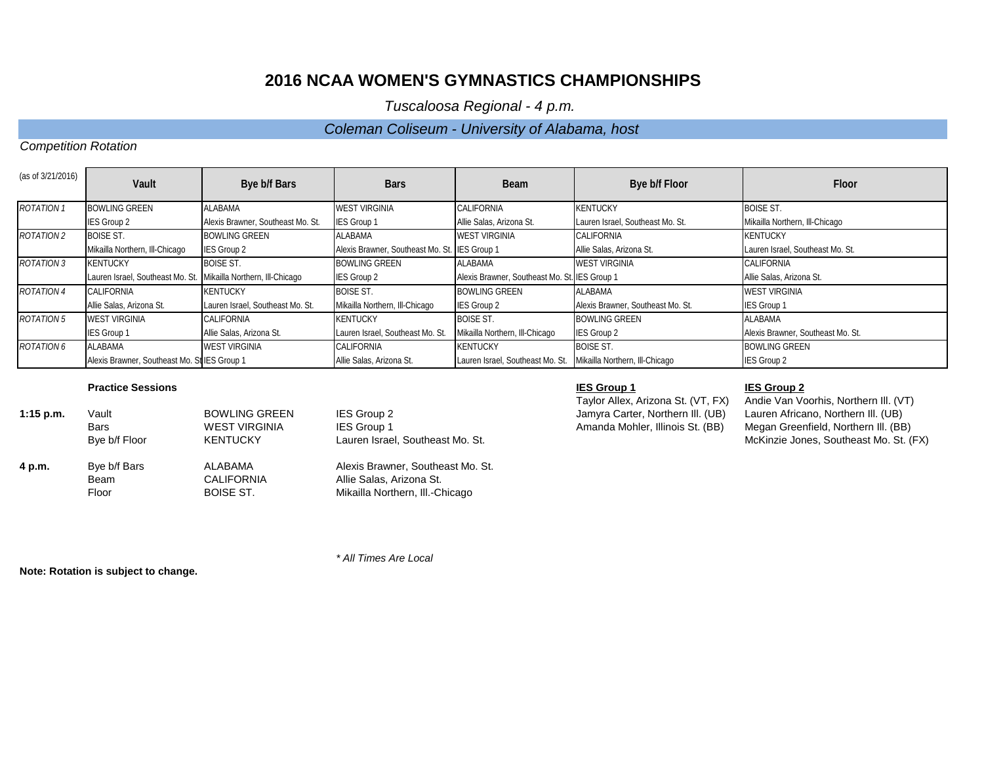*Tuscaloosa Regional - 4 p.m.* 

## *Coleman Coliseum - University of Alabama, host*

## *Competition Rotation*

| (as of 3/21/2016) | Vault                                        | Bye b/f Bars                      | <b>Bars</b>                                   | <b>Beam</b>                                   | Bye b/f Floor                     | Floor                             |
|-------------------|----------------------------------------------|-----------------------------------|-----------------------------------------------|-----------------------------------------------|-----------------------------------|-----------------------------------|
| <b>ROTATION 1</b> | <b>BOWLING GREEN</b>                         | <b>ALABAMA</b>                    | <b>WEST VIRGINIA</b>                          | CALIFORNIA                                    | <b>KENTUCKY</b>                   | <b>BOISE ST.</b>                  |
|                   | IES Group 2                                  | Alexis Brawner, Southeast Mo. St. | <b>IES Group 1</b>                            | Allie Salas, Arizona St.                      | Lauren Israel, Southeast Mo. St.  | Mikailla Northern, Ill-Chicago    |
| <b>ROTATION 2</b> | <b>BOISE ST.</b>                             | <b>BOWLING GREEN</b>              | <b>ALABAMA</b>                                | <b>WEST VIRGINIA</b>                          | <b>CALIFORNIA</b>                 | <b>KENTUCKY</b>                   |
|                   | Mikailla Northern, Ill-Chicago               | <b>IES Group 2</b>                | Alexis Brawner, Southeast Mo. St. IES Group 1 |                                               | Allie Salas, Arizona St.          | Lauren Israel, Southeast Mo. St.  |
| <b>ROTATION 3</b> | <b>KENTUCKY</b>                              | <b>BOISE ST.</b>                  | <b>BOWLING GREEN</b>                          | ALABAMA                                       | <b>WEST VIRGINIA</b>              | <b>CALIFORNIA</b>                 |
|                   | Lauren Israel, Southeast Mo. St.             | Mikailla Northern, Ill-Chicago    | <b>IES Group 2</b>                            | Alexis Brawner, Southeast Mo. St. IES Group 1 |                                   | Allie Salas, Arizona St.          |
| <b>ROTATION 4</b> | CALIFORNIA                                   | <b>KENTUCKY</b>                   | <b>BOISE ST.</b>                              | <b>BOWLING GREEN</b>                          | ALABAMA                           | <b>WEST VIRGINIA</b>              |
|                   | Allie Salas, Arizona St.                     | Lauren Israel, Southeast Mo. St.  | Mikailla Northern, Ill-Chicago                | <b>IES Group 2</b>                            | Alexis Brawner, Southeast Mo. St. | <b>IES Group 1</b>                |
| <b>ROTATION 5</b> | <b>WEST VIRGINIA</b>                         | <b>CALIFORNIA</b>                 | <b>KENTUCKY</b>                               | <b>BOISE ST.</b>                              | <b>BOWLING GREEN</b>              | ALABAMA                           |
|                   | <b>IES Group 1</b>                           | Allie Salas, Arizona St.          | Lauren Israel, Southeast Mo. St.              | Mikailla Northern, Ill-Chicago                | <b>IES Group 2</b>                | Alexis Brawner, Southeast Mo. St. |
| <b>ROTATION 6</b> | ALABAMA                                      | <b>WEST VIRGINIA</b>              | <b>CALIFORNIA</b>                             | <b>KENTUCKY</b>                               | <b>BOISE ST.</b>                  | <b>BOWLING GREEN</b>              |
|                   | Alexis Brawner, Southeast Mo. St IES Group 1 |                                   | Allie Salas, Arizona St.                      | Lauren Israel, Southeast Mo. St.              | Mikailla Northern, Ill-Chicago    | IES Group 2                       |

### **Practice Sessions IES Group 1 IES Group 2**

| $1:15$ p.m. | Vault         | <b>BOWLING GREEN</b> | IES Group 2                       |
|-------------|---------------|----------------------|-----------------------------------|
|             | <b>Bars</b>   | <b>WEST VIRGINIA</b> | <b>IES Group 1</b>                |
|             | Bye b/f Floor | <b>KENTUCKY</b>      | Lauren Israel, Southeast Mo. St.  |
| 4 p.m.      | Bye b/f Bars  | ALABAMA              | Alexis Brawner, Southeast Mo. St. |
|             | Beam          | <b>CALIFORNIA</b>    | Allie Salas, Arizona St.          |
|             | Floor         | <b>BOISE ST.</b>     | Mikailla Northern, III.-Chicago   |

**1:15 Jamyra Carter, Northern III. (UB)**<br>Amanda Mohler, Illinois St. (BB)

Taylor Allex, Arizona St. (VT, FX) Andie Van Voorhis, Northern III. (VT)<br>Jamyra Carter, Northern III. (UB) Lauren Africano, Northern III. (UB) Megan Greenfield, Northern III. (BB) McKinzie Jones, Southeast Mo. St. (FX)

**Note: Rotation is subject to change.**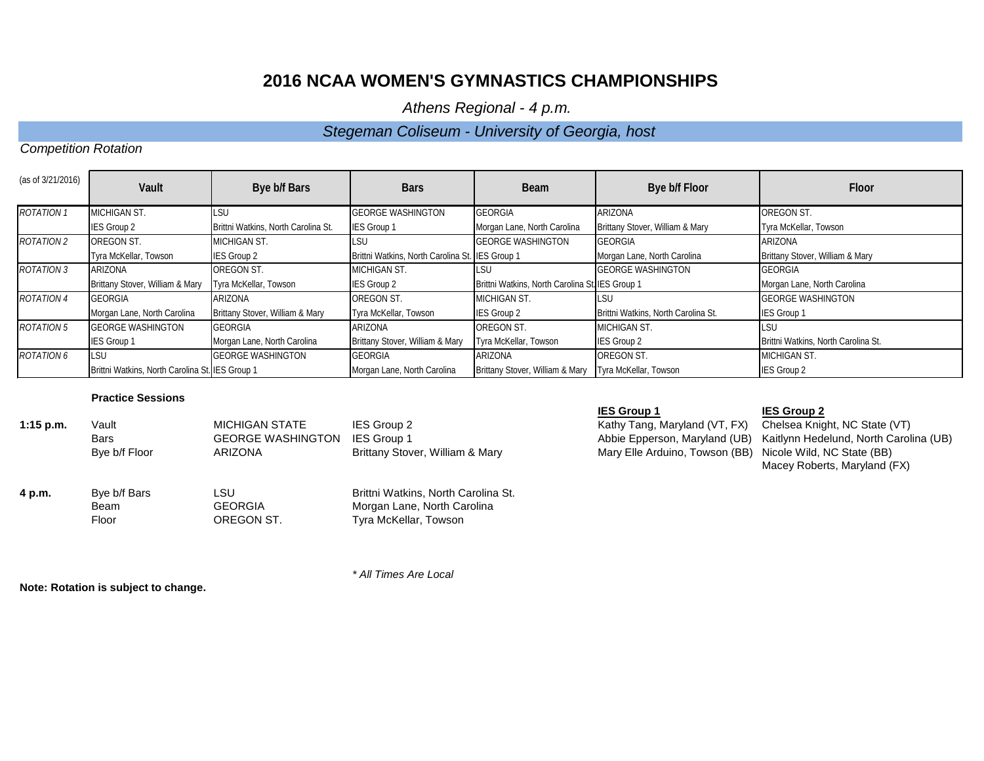*Athens Regional - 4 p.m.* 

## *Stegeman Coliseum - University of Georgia, host*

## *Competition Rotation*

| (as of 3/21/2016) | Vault                                           | Bye b/f Bars                        | <b>Bars</b>                                     | <b>Beam</b>                                             | Bye b/f Floor                       | Floor                               |
|-------------------|-------------------------------------------------|-------------------------------------|-------------------------------------------------|---------------------------------------------------------|-------------------------------------|-------------------------------------|
| <b>ROTATION 1</b> | <b>MICHIGAN ST.</b>                             | LSU                                 | <b>GEORGE WASHINGTON</b>                        | <b>GEORGIA</b>                                          | ARIZONA                             | OREGON ST.                          |
|                   | <b>IES Group 2</b>                              | Brittni Watkins, North Carolina St. | <b>IES Group 1</b>                              | Morgan Lane, North Carolina                             | Brittany Stover, William & Mary     | Tyra McKellar, Towson               |
| <b>ROTATION 2</b> | OREGON ST.                                      | <b>MICHIGAN ST.</b>                 | LSU                                             | <b>GEORGE WASHINGTON</b>                                | <b>GEORGIA</b>                      | ARIZONA                             |
|                   | Tyra McKellar, Towson                           | <b>IES Group 2</b>                  | Brittni Watkins, North Carolina St. IES Group 1 |                                                         | Morgan Lane, North Carolina         | Brittany Stover, William & Mary     |
| <b>ROTATION 3</b> | <b>ARIZONA</b>                                  | OREGON ST.                          | <b>MICHIGAN ST.</b>                             | <b>ILSU</b>                                             | <b>GEORGE WASHINGTON</b>            | <b>GEORGIA</b>                      |
|                   | Brittany Stover, William & Mary                 | Tyra McKellar, Towson               | <b>IES Group 2</b>                              | Brittni Watkins, North Carolina St. IES Group 1         |                                     | Morgan Lane, North Carolina         |
| <b>ROTATION 4</b> | <b>GEORGIA</b>                                  | ARIZONA                             | OREGON ST.                                      | MICHIGAN ST.                                            | <b>LSU</b>                          | <b>GEORGE WASHINGTON</b>            |
|                   | Morgan Lane, North Carolina                     | Brittany Stover, William & Mary     | Tyra McKellar, Towson                           | IES Group 2                                             | Brittni Watkins, North Carolina St. | <b>IES Group 1</b>                  |
| <b>ROTATION 5</b> | <b>GEORGE WASHINGTON</b>                        | <b>GEORGIA</b>                      | ARIZONA                                         | OREGON ST.                                              | <b>MICHIGAN ST.</b>                 | <b>LSU</b>                          |
|                   | <b>IES Group 1</b>                              | Morgan Lane, North Carolina         | Brittany Stover, William & Mary                 | Tyra McKellar, Towson                                   | <b>IES Group 2</b>                  | Brittni Watkins, North Carolina St. |
| ROTATION 6        | LSU                                             | <b>GEORGE WASHINGTON</b>            | <b>GEORGIA</b>                                  | ARIZONA                                                 | OREGON ST.                          | <b>MICHIGAN ST.</b>                 |
|                   | Brittni Watkins, North Carolina St. IES Group 1 |                                     | Morgan Lane, North Carolina                     | Brittany Stover, William & Mary   Tyra McKellar, Towson |                                     | <b>IES Group 2</b>                  |

### **Practice Sessions**

| $1:15$ p.m. | Vault         | <b>MICHIGAN STATE</b>    | IES Group 2                         |
|-------------|---------------|--------------------------|-------------------------------------|
|             | Bars          | <b>GEORGE WASHINGTON</b> | <b>IES Group 1</b>                  |
|             | Bye b/f Floor | ARIZONA                  | Brittany Stover, William & Mary     |
| 4 p.m.      | Bye b/f Bars  | <b>LSU</b>               | Brittni Watkins, North Carolina St. |
|             | Beam          | <b>GEORGIA</b>           | Morgan Lane, North Carolina         |
|             | Floor         | OREGON ST.               | Tyra McKellar, Towson               |

**1:15 Kathy Tang, Maryland (VT, FX)** Chelsea Knight, NC State (VT)<br>Abbie Epperson, Maryland (UB) Kaitlynn Hedelund, North Caroli Mary Elle Arduino, Towson (BB)

### **IES Group 1 IES Group 2**

Kaitlynn Hedelund, North Carolina (UB)<br>Nicole Wild, NC State (BB) Macey Roberts, Maryland (FX)

**Note: Rotation is subject to change.**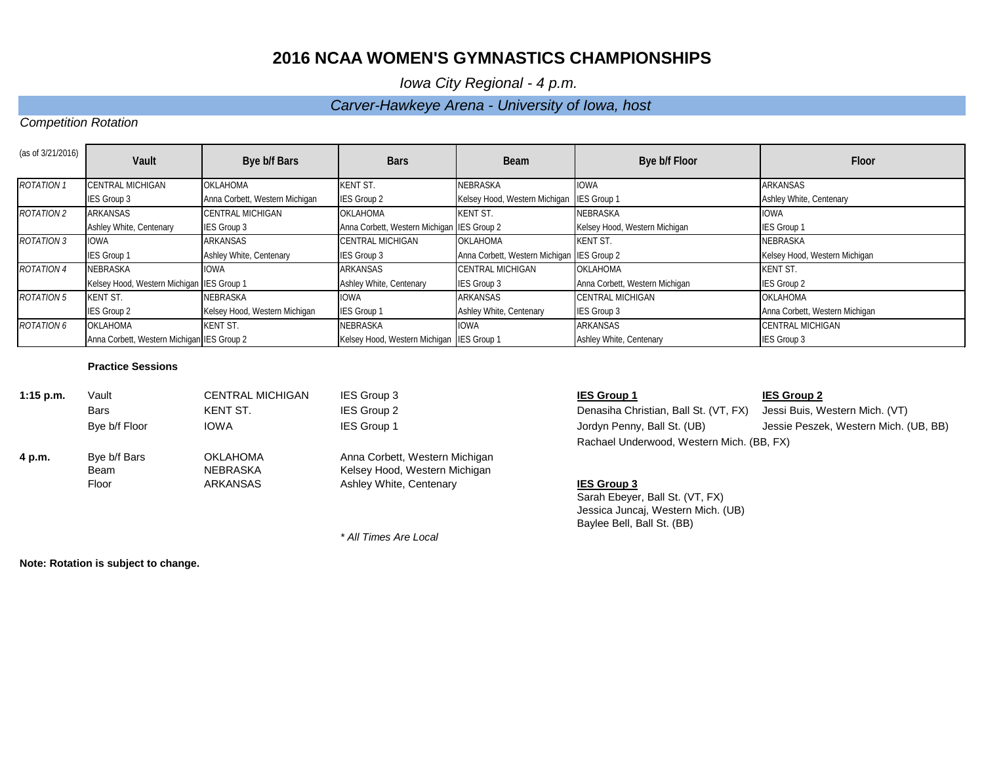*Iowa City Regional - 4 p.m.* 

## *Carver-Hawkeye Arena - University of Iowa, host*

## *Competition Rotation*

| (as of 3/21/2016) | Vault                                      | Bye b/f Bars                   | <b>Bars</b>                                | Beam                                       | Bye b/f Floor                  | Floor                          |
|-------------------|--------------------------------------------|--------------------------------|--------------------------------------------|--------------------------------------------|--------------------------------|--------------------------------|
| <b>ROTATION 1</b> | <b>CENTRAL MICHIGAN</b>                    | <b>OKLAHOMA</b>                | <b>KENT ST.</b>                            | NEBRASKA                                   | <b>IOWA</b>                    | <b>ARKANSAS</b>                |
|                   | IES Group 3                                | Anna Corbett, Western Michigan | <b>IES Group 2</b>                         | Kelsey Hood, Western Michigan IES Group 1  |                                | Ashley White, Centenary        |
| <b>ROTATION 2</b> | ARKANSAS                                   | CENTRAL MICHIGAN               | <b>OKLAHOMA</b>                            | <b>KENT ST.</b>                            | <b>NEBRASKA</b>                | <b>IOWA</b>                    |
|                   | Ashley White, Centenary                    | <b>IES Group 3</b>             | Anna Corbett, Western Michigan IES Group 2 |                                            | Kelsey Hood, Western Michigan  | <b>IES Group 1</b>             |
| <b>ROTATION 3</b> | <b>IOWA</b>                                | <b>ARKANSAS</b>                | CENTRAL MICHIGAN                           | <b>OKLAHOMA</b>                            | <b>KENT ST.</b>                | NEBRASKA                       |
|                   | <b>IES Group 1</b>                         | Ashley White, Centenary        | IES Group 3                                | Anna Corbett, Western Michigan IES Group 2 |                                | Kelsey Hood, Western Michigan  |
| <b>ROTATION 4</b> | NEBRASKA                                   | <b>IOWA</b>                    | <b>ARKANSAS</b>                            | <b>CENTRAL MICHIGAN</b>                    | <b>OKLAHOMA</b>                | <b>KENT ST.</b>                |
|                   | Kelsey Hood, Western Michigan IES Group 1  |                                | Ashley White, Centenary                    | IES Group 3                                | Anna Corbett, Western Michigan | <b>IES Group 2</b>             |
| <b>ROTATION 5</b> | <b>KENT ST.</b>                            | NEBRASKA                       | <b>IOWA</b>                                | <b>ARKANSAS</b>                            | <b>CENTRAL MICHIGAN</b>        | <b>OKLAHOMA</b>                |
|                   | <b>IES Group 2</b>                         | Kelsey Hood, Western Michigan  | <b>IES Group 1</b>                         | Ashley White, Centenary                    | IES Group 3                    | Anna Corbett, Western Michigan |
| <b>ROTATION 6</b> | <b>OKLAHOMA</b>                            | <b>KENT ST.</b>                | NEBRASKA                                   | <b>IOWA</b>                                | <b>ARKANSAS</b>                | CENTRAL MICHIGAN               |
|                   | Anna Corbett, Western Michigan IES Group 2 |                                | Kelsey Hood, Western Michigan IES Group 1  |                                            | Ashley White, Centenary        | <b>IES Group 3</b>             |

*\* All Times Are Local*

### **Practice Sessions**

| $1:15$ p.m. | Vault         | <b>CENTRAL MICHIGAN</b> | IES Group 3                    | <b>IES Group 1</b>                        | <b>IES Group 2</b> |
|-------------|---------------|-------------------------|--------------------------------|-------------------------------------------|--------------------|
|             | <b>Bars</b>   | KENT ST.                | <b>IES Group 2</b>             | Denasiha Christian, Ball St. (VT, FX)     | Jessi Buis, V      |
|             | Bye b/f Floor | <b>IOWA</b>             | <b>IES Group 1</b>             | Jordyn Penny, Ball St. (UB)               | Jessie Pesze       |
|             |               |                         |                                | Rachael Underwood, Western Mich. (BB, FX) |                    |
| 4 p.m.      | Bye b/f Bars  | <b>OKLAHOMA</b>         | Anna Corbett, Western Michigan |                                           |                    |
|             | Beam          | <b>NEBRASKA</b>         | Kelsey Hood, Western Michigan  |                                           |                    |
|             | Floor         | <b>ARKANSAS</b>         | Ashley White, Centenary        | <b>IES Group 3</b>                        |                    |
|             |               |                         |                                | Sarah Ehever Rall St (VT EX)              |                    |

Denasiha Christian, Ball St. (VT, FX) Jessi Buis, Western Mich. (VT) Rachael Underwood, Western Mich. (BB, FX)

# **IES Group 3**

Sarah Ebeyer, Ball St. (VT, FX) Jessica Juncaj, Western Mich. (UB) Baylee Bell, Ball St. (BB)

Jordyn Penny, Ball St. (UB) Jessie Peszek, Western Mich. (UB, BB)

**Note: Rotation is subject to change.**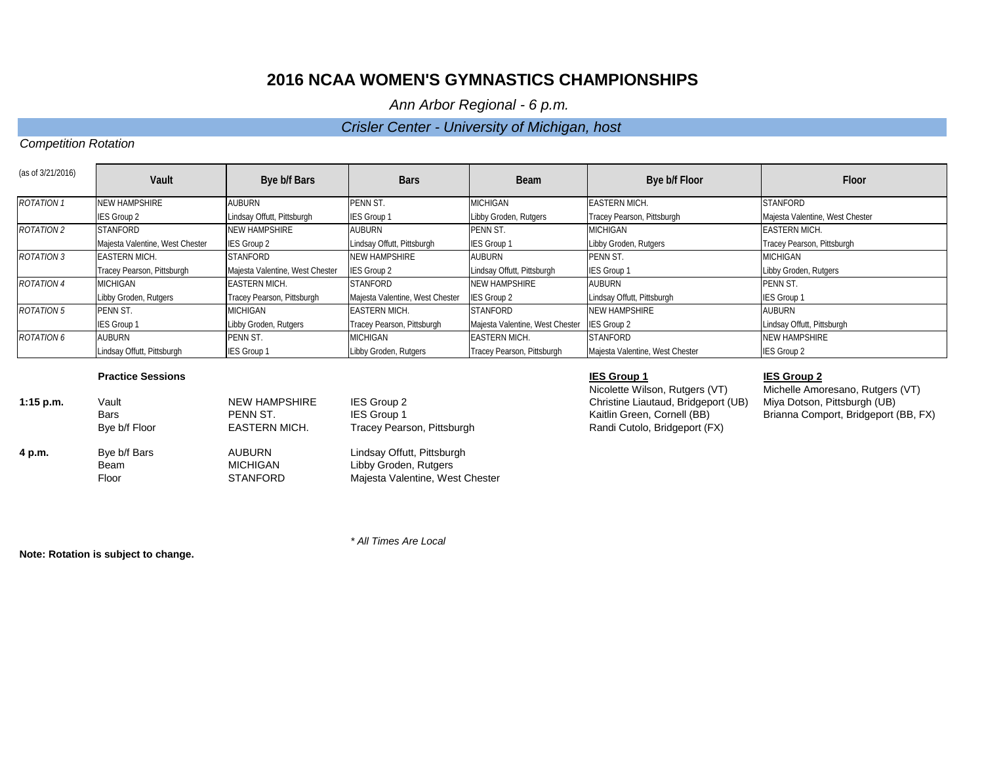*Ann Arbor Regional - 6 p.m.* 

## *Crisler Center - University of Michigan, host*

## *Competition Rotation*

| (as of 3/21/2016) | Vault                           | Bye b/f Bars                    | <b>Bars</b>                     | <b>Beam</b>                     | Bye b/f Floor                   | Floor                           |
|-------------------|---------------------------------|---------------------------------|---------------------------------|---------------------------------|---------------------------------|---------------------------------|
| <b>ROTATION 1</b> | <b>NEW HAMPSHIRE</b>            | <b>AUBURN</b>                   | PENN ST.                        | <b>MICHIGAN</b>                 | <b>EASTERN MICH.</b>            | <b>STANFORD</b>                 |
|                   | <b>IES Group 2</b>              | Lindsay Offutt, Pittsburgh      | <b>IES Group 1</b>              | Libby Groden, Rutgers           | Tracey Pearson, Pittsburgh      | Majesta Valentine, West Chester |
| <b>ROTATION 2</b> | <b>STANFORD</b>                 | <b>NEW HAMPSHIRE</b>            | <b>AUBURN</b>                   | PENN ST.                        | <b>MICHIGAN</b>                 | <b>EASTERN MICH.</b>            |
|                   | Majesta Valentine, West Chester | <b>IES Group 2</b>              | Lindsay Offutt, Pittsburgh      | <b>IES Group 1</b>              | Libby Groden, Rutgers           | Tracey Pearson, Pittsburgh      |
| <b>ROTATION 3</b> | <b>EASTERN MICH.</b>            | <b>STANFORD</b>                 | <b>NEW HAMPSHIRE</b>            | <b>AUBURN</b>                   | PENN ST.                        | <b>MICHIGAN</b>                 |
|                   | Tracey Pearson, Pittsburgh      | Majesta Valentine, West Chester | <b>IES Group 2</b>              | Lindsay Offutt, Pittsburgh      | <b>IES Group 1</b>              | Libby Groden, Rutgers           |
| <b>ROTATION 4</b> | <b>MICHIGAN</b>                 | <b>EASTERN MICH.</b>            | <b>STANFORD</b>                 | <b>NEW HAMPSHIRE</b>            | <b>AUBURN</b>                   | PENN ST.                        |
|                   | Libby Groden, Rutgers           | Tracey Pearson, Pittsburgh      | Majesta Valentine, West Chester | <b>IES Group 2</b>              | Lindsay Offutt, Pittsburgh      | <b>IES Group 1</b>              |
| <b>ROTATION 5</b> | PENN ST.                        | MICHIGAN                        | <b>EASTERN MICH.</b>            | <b>STANFORD</b>                 | <b>NEW HAMPSHIRE</b>            | <b>AUBURN</b>                   |
|                   | <b>IES Group 1</b>              | Libby Groden, Rutgers           | Tracey Pearson, Pittsburgh      | Majesta Valentine, West Chester | <b>IES Group 2</b>              | Lindsay Offutt, Pittsburgh      |
| <b>ROTATION 6</b> | <b>AUBURN</b>                   | PENN ST.                        | MICHIGAN                        | <b>EASTERN MICH.</b>            | <b>STANFORD</b>                 | <b>NEW HAMPSHIRE</b>            |
|                   | Lindsay Offutt, Pittsburgh      | <b>IES Group 1</b>              | Libby Groden, Rutgers           | Tracey Pearson, Pittsburgh      | Majesta Valentine, West Chester | IES Group 2                     |

### **Practice Sessions IES Group 1 IES Group 2**

| $1:15$ p.m. | Vault         | <b>NEW HAMPSHIRE</b> | IES Group 2                     |
|-------------|---------------|----------------------|---------------------------------|
|             | <b>Bars</b>   | PENN ST.             | <b>IES Group 1</b>              |
|             | Bye b/f Floor | <b>EASTERN MICH.</b> | Tracey Pearson, Pittsburgh      |
| 4 p.m.      | Bye b/f Bars  | <b>AUBURN</b>        | Lindsay Offutt, Pittsburgh      |
|             | Beam          | MICHIGAN             | Libby Groden, Rutgers           |
|             | Floor         | <b>STANFORD</b>      | Majesta Valentine, West Chester |

Nicolette Wilson, Rutgers (VT) Michelle Amoresano, Rutgers (VT)<br>Christine Liautaud, Bridgeport (UB) Miya Dotson, Pittsburgh (UB) **1:15 Christine Liautaud, Bridgeport (UB)** Kaitlin Green, Cornell (BB) Randi Cutolo, Bridgeport (FX)

Brianna Comport, Bridgeport (BB, FX)

**Note: Rotation is subject to change.**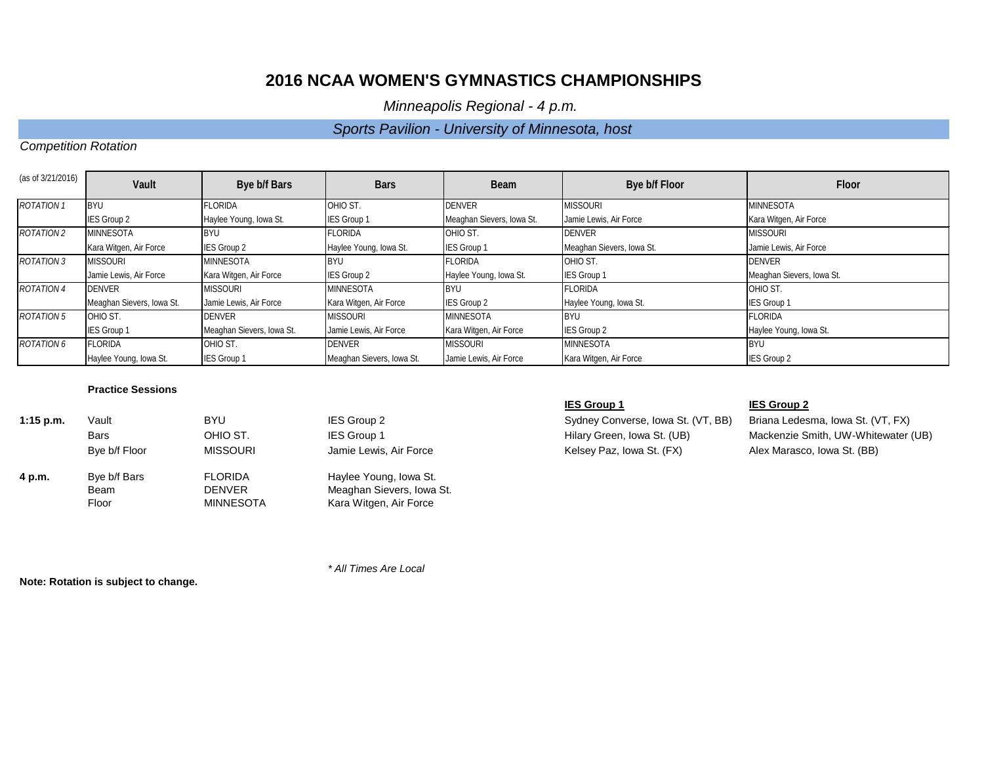*Minneapolis Regional - 4 p.m.* 

## *Sports Pavilion - University of Minnesota, host*

## *Competition Rotation*

| (as of 3/21/2016) | Vault                     | Bye b/f Bars              | <b>Bars</b>               | <b>Beam</b>               | Bye b/f Floor             | Floor                     |
|-------------------|---------------------------|---------------------------|---------------------------|---------------------------|---------------------------|---------------------------|
| <b>ROTATION 1</b> | <b>BYU</b>                | FLORIDA                   | OHIO ST.                  | <b>DENVER</b>             | <b>MISSOURI</b>           | <b>MINNESOTA</b>          |
|                   | IES Group 2               | Haylee Young, Iowa St.    | <b>IES Group 1</b>        | Meaghan Sievers, Iowa St. | Jamie Lewis, Air Force    | Kara Witgen, Air Force    |
| <b>ROTATION 2</b> | <b>MINNESOTA</b>          | <b>BYU</b>                | <b>FLORIDA</b>            | OHIO ST.                  | <b>DENVER</b>             | <b>MISSOURI</b>           |
|                   | Kara Witgen, Air Force    | <b>IES Group 2</b>        | Haylee Young, Iowa St.    | IES Group 1               | Meaghan Sievers, Iowa St. | Jamie Lewis, Air Force    |
| <b>ROTATION 3</b> | <b>MISSOURI</b>           | <b>MINNESOTA</b>          | <b>BYU</b>                | <b>FLORIDA</b>            | OHIO ST.                  | <b>DENVER</b>             |
|                   | Jamie Lewis, Air Force    | Kara Witgen, Air Force    | <b>IES Group 2</b>        | Haylee Young, Iowa St.    | <b>IES Group 1</b>        | Meaghan Sievers, Iowa St. |
| <b>ROTATION 4</b> | <b>DENVER</b>             | <b>MISSOURI</b>           | <b>MINNESOTA</b>          | <b>BYU</b>                | <b>FLORIDA</b>            | OHIO ST.                  |
|                   | Meaghan Sievers, Iowa St. | Jamie Lewis, Air Force    | Kara Witgen, Air Force    | <b>IES Group 2</b>        | Haylee Young, Iowa St.    | <b>IES Group 1</b>        |
| <b>ROTATION 5</b> | OHIO ST.                  | DENVER                    | <b>MISSOURI</b>           | <b>MINNESOTA</b>          | <b>BYU</b>                | <b>FLORIDA</b>            |
|                   | IES Group 1               | Meaghan Sievers, Iowa St. | Jamie Lewis, Air Force    | Kara Witgen, Air Force    | IES Group 2               | Haylee Young, Iowa St.    |
| <b>ROTATION 6</b> | <b>FLORIDA</b>            | OHIO ST.                  | <b>DENVER</b>             | <b>MISSOURI</b>           | <b>MINNESOTA</b>          | <b>BYU</b>                |
|                   | Haylee Young, Iowa St.    | <b>IES Group 1</b>        | Meaghan Sievers, Iowa St. | Jamie Lewis, Air Force    | Kara Witgen, Air Force    | <b>IES Group 2</b>        |

## **Practice Sessions**

| $1:15$ p.m. | Vault         | BYU              | IES Group 2               |
|-------------|---------------|------------------|---------------------------|
|             | <b>Bars</b>   | OHIO ST.         | <b>IES Group 1</b>        |
|             | Bye b/f Floor | <b>MISSOURI</b>  | Jamie Lewis, Air Force    |
| 4 p.m.      | Bye b/f Bars  | <b>FLORIDA</b>   | Haylee Young, Iowa St.    |
|             | Beam          | <b>DENVER</b>    | Meaghan Sievers, Iowa St. |
|             | Floor         | <b>MINNESOTA</b> | Kara Witgen, Air Force    |

Sydney Converse, Iowa St. (VT, BB) Briana Ledesma, Iowa St. (VT, FX) Force **Example 20** Force MISSON MISSON MISSON MISSON MARIAS And Alex Marasco, Iowa St. (BB)

### **IES Group 1 IES Group 2**

Hilary Green, Iowa St. (UB) Mackenzie Smith, UW-Whitewater (UB)

**Note: Rotation is subject to change.**